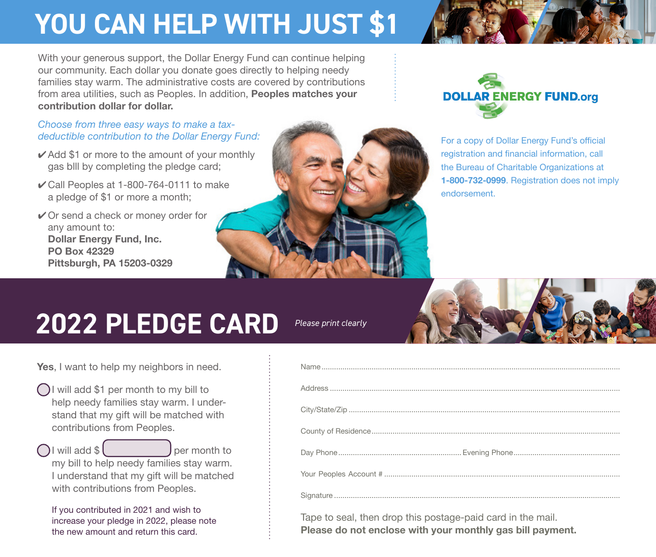## **YOU CAN HELP WITH JUST \$1 YOU CAN HELP WITH JUST \$1**

With your generous support, the Dollar Energy Fund can continue helping our community. Each dollar you donate goes directly to helping needy families stay warm. The administrative costs are covered by contributions from area utilities, such as Peoples. In addition, Peoples matches your **matches your contribution dollar for dollar**. contribution dollar for dollar.

## *Choose from three easy ways to make a Choose from three easy ways to make a taxtax-deductible contribution: deductible contribution to the Dollar Energy Fund:*

- $\checkmark$  Add \$1 or more to the amount of your monthly by completing the pledge card; gas blll by completing the pledge card;
- 4 Call Peoples at 1-800-764-0111 to make ✔ Call Peoples at 1-800-764-0111 to make a pledge of \$1 or more a month; a pledge of \$1 or more a month;
- 4 Or send a check or money order for ✔ Or send a check or money order for any amount to: any amount to: **Dollar Energy Fund, Inc.**  Dollar Energy Fund, Inc. **PO Box 42329**  PO Box 42329 **Pittsburgh, PA 15203-0329** Pittsburgh, PA 15203-0329





For a copy of Dollar Energy Fund's official For a copy of Dollar Energy Fund's official registration and financial information, call registration and financial information, call the Bureau of Charitable Organizations at the Bureau of Charitable Organizations at **1-800-732-0999**. Registration does not imply 1-800-732-0999. Registration does not imply endorsement. endorsement.

## **2020 PLEDGE CARD**

*Please print clearly*



- I will add \$1 per month to my bill to I will add \$1 per month to my bill to help needy families stay warm. I under-help needy families stay warm. I understand that my gift will be matched with stand that my gift will be matched with contributions from Peoples. contributions from Peoples.
- I will add \$ per month to my bill to help needy families stay warm. my bill to help needy families stay warm. I understand that my gift will be matched I understand that my gift will be matched with contributions from Peoples.

with contributions from Peoples.<br>If you contributed in 2021 and wish to increase your pledge in 2020, please note increase your pledge in 2022, please note the new amount and return this card. the new amount and return this card.

| Tape to seal, then drop this postage-paid card in the mail. |  |
|-------------------------------------------------------------|--|

**Please do not enclose with your monthly gas bill payment.**